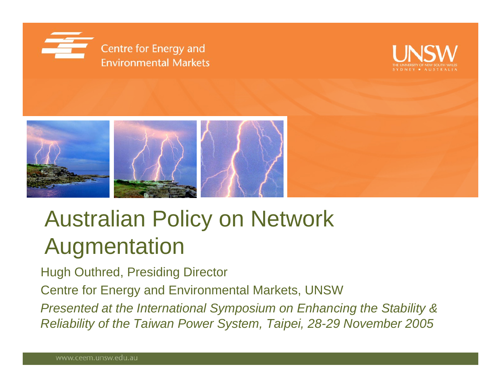





# Australian Policy on Network Augmentation

Hugh Outhred, Presiding Director

Centre for Energy and Environmental Markets, UNSW

*Presented at the International Symposium on Enhancing the Stability & Reliability of the Taiwan Power System, Taipei, 28-29 November 2005*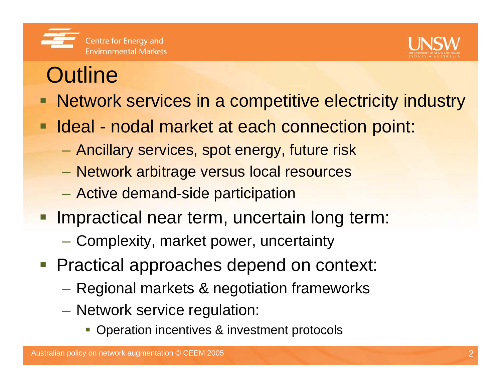



# **Outline**

- **Network services in a competitive electricity industry**
- Ideal nodal market at each connection point:
	- Ancillary services, spot energy, future risk
	- Network arbitrage versus local resources
	- Active demand-side participation
- **Impractical near term, uncertain long term:** 
	- Complexity, market power, uncertainty
- **Practical approaches depend on context:** 
	- Regional markets & negotiation frameworks
	- Network service regulation:
		- **Operation incentives & investment protocols**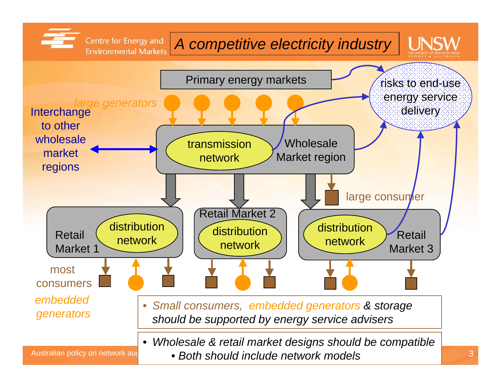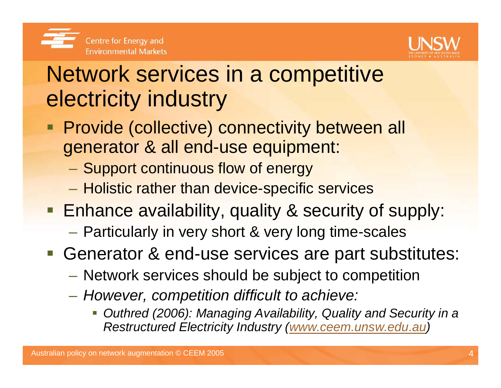



# Network services in a competitive electricity industry

- **Provide (collective) connectivity between all** generator & all end-use equipment:
	- Support continuous flow of energy
	- $\mathcal{L}_{\mathcal{A}}$ - Holistic rather than device-specific services
- **Enhance availability, quality & security of supply:** 
	- Particularly in very short & very long time-scales
- Generator & end-use services are part substitutes:
	- Network services should be subject to competition
	- – *However, competition difficult to achieve:*
		- F *Outhred (2006): Managing Availability, Quality and Security in a Restructured Electricity Industry (www.ceem.unsw.edu.au)*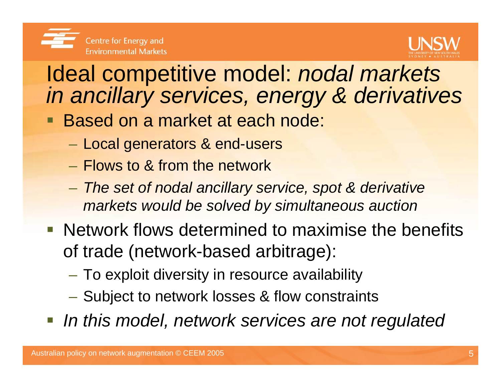



## Ideal competitive model: *nodal markets in ancillary services, energy & derivatives*

- Ŧ Based on a market at each node:
	- Local generators & end-users
	- Flows to & from the network
	- *The set of nodal ancillary service, spot & derivative markets would be solved by simultaneous auction*
- **Network flows determined to maximise the benefits** of trade (network-based arbitrage):
	- To exploit diversity in resource availability
	- Subject to network losses & flow constraints
- *In this model, network services are not regulated*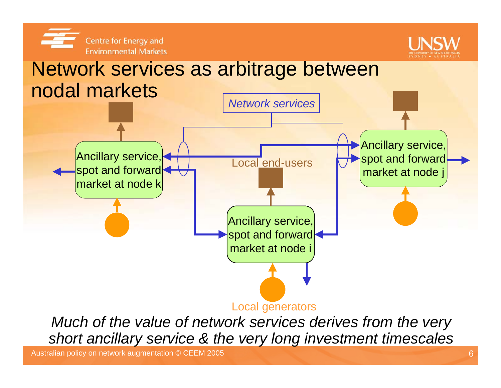



#### Network services as arbitrage between nodal markets



*Much of the value of network services derives from the very short ancillary service & the very long investment timescales*

Australian policy on network augmentation © CEEM 2005 6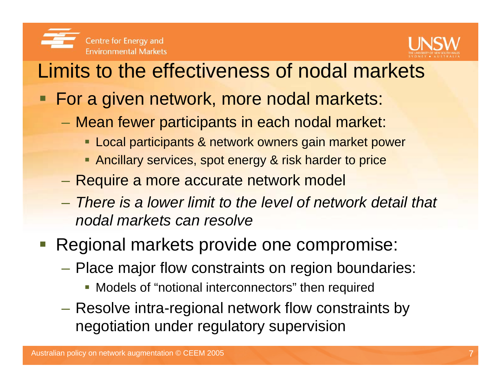



### Limits to the effectiveness of nodal markets

- For a given network, more nodal markets:
	- Mean fewer participants in each nodal market:
		- Local participants & network owners gain market power
		- **Ancillary services, spot energy & risk harder to price**
	- Require a more accurate network model
	- *There is a lower limit to the level of network detail that nodal markets can resolve*
- **Service Service**  Regional markets provide one compromise:
	- Place major flow constraints on region boundaries:
		- **Models of "notional interconnectors" then required**
	- Resolve intra-regional network flow constraints by negotiation under regulatory supervision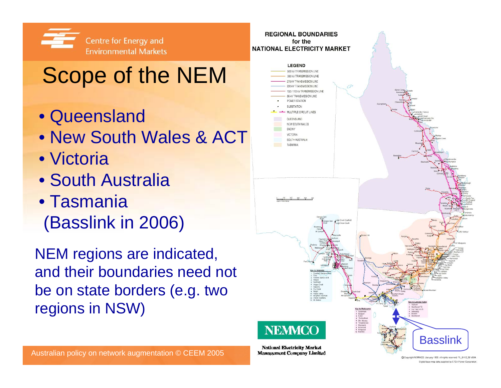

# Scope of the NEM

- Queensland
- New South Wales & ACT
- Victoria
- South Australia
- Tasmania (Basslink in 2006)

NEM regions are indicated, and their boundaries need not be on state borders (e.g. two regions in NSW)



Digital base map data supplied by ETSA Power Corporation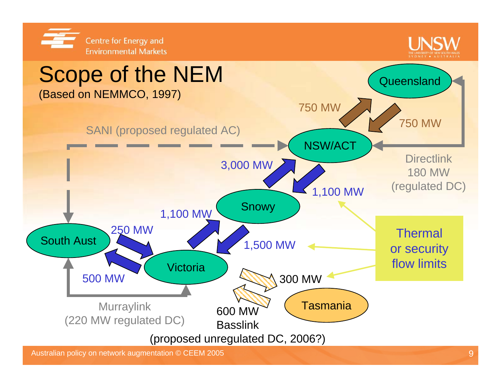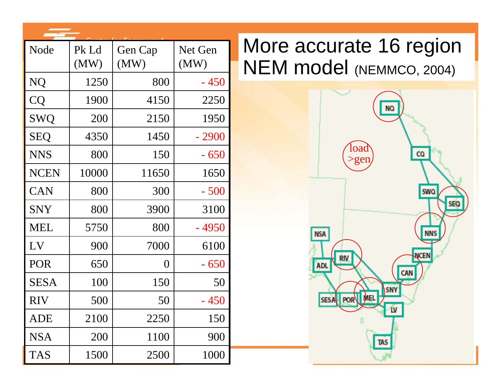| Node        | Pk Ld<br>(MW) | Gen Cap<br>(MW) | Net Gen<br>(MW) | More accurate 16 region<br><b>NEM model (NEMMCO, 2004)</b> |  |
|-------------|---------------|-----------------|-----------------|------------------------------------------------------------|--|
| <b>NQ</b>   | 1250          | 800             | $-450$          |                                                            |  |
| CQ          | 1900          | 4150            | 2250            |                                                            |  |
| <b>SWQ</b>  | 200           | 2150            | 1950            | <b>NO</b>                                                  |  |
| <b>SEQ</b>  | 4350          | 1450            | $-2900$         |                                                            |  |
| <b>NNS</b>  | 800           | 150             | $-650$          | load<br>CQ<br>>gen                                         |  |
| <b>NCEN</b> | 10000         | 11650           | 1650            |                                                            |  |
| <b>CAN</b>  | 800           | 300             | $-500$          | <b>SWQ</b>                                                 |  |
| <b>SNY</b>  | 800           | 3900            | 3100            | <b>SEQ</b>                                                 |  |
| <b>MEL</b>  | 5750          | 800             | $-4950$         | <b>NNS</b><br><b>NSA</b>                                   |  |
| LV          | 900           | 7000            | 6100            |                                                            |  |
| <b>POR</b>  | 650           | $\overline{0}$  | $-650$          | NCEN<br><b>RIV</b><br>ADL                                  |  |
| <b>SESA</b> | 100           | 150             | 50              | CAN<br>SNY                                                 |  |
| <b>RIV</b>  | 500           | 50              | $-450$          | SESA POR MEL                                               |  |
| ADE         | 2100          | 2250            | 150             | Ĺ٧<br>Ò                                                    |  |
| <b>NSA</b>  | 200           | 1100            | 900             | TAS                                                        |  |
| <b>TAS</b>  | 1500          | 2500            | 1000            |                                                            |  |

## More accurate 16 region NEM model (NEMMCO, 2004)

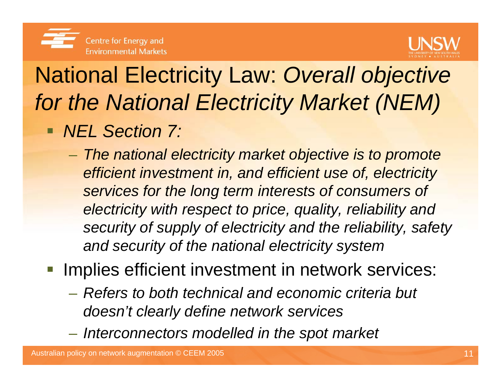



# National Electricity Law: *Overall objective for the National Electricity Market (NEM)*

- п *NEL Section 7:*
	- $\mathcal{L}_{\mathcal{A}}$  *The national electricity market objective is to promote efficient investment in, and efficient use of, electricity services for the long term interests of consumers of electricity with respect to price, quality, reliability and security of supply of electricity and the reliability, safety and security of the national electricity system*

**Implies efficient investment in network services:** 

- *Refers to both technical and economic criteria but doesn't clearly define network services*
- *Interconnectors modelled in the spot market*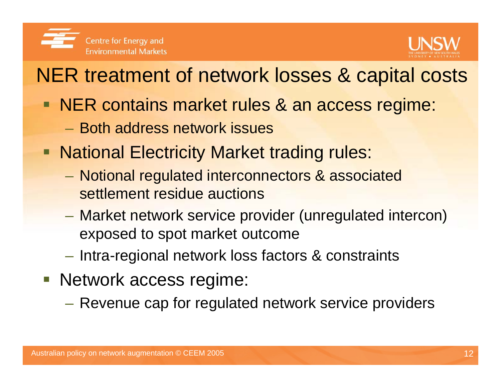

# NER treatment of network losses & capital costs

- **NER contains market rules & an access regime:** 
	- Both address network issues
- **National Electricity Market trading rules:** 
	- Notional regulated interconnectors & associated settlement residue auctions
	- – Market network service provider (unregulated intercon) exposed to spot market outcome
	- $-$  Intra-regional network loss factors & constraints
- Network access regime:
	- Revenue cap for regulated network service providers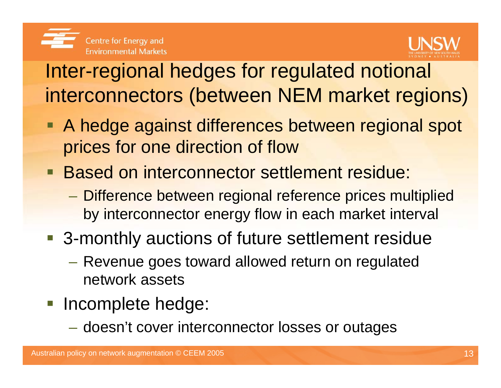



## Inter-regional hedges for regulated notional interconnectors (between NEM market regions)

- A hedge against differences between regional spot prices for one direction of flow
- Based on interconnector settlement residue:
	- Difference between regional reference prices multiplied by interconnector energy flow in each market interval
- 3-monthly auctions of future settlement residue
	- Revenue goes toward allowed return on regulated network assets
- **Incomplete hedge:** 
	- $\mathcal{L}_{\mathcal{A}}$ doesn't cover interconnector losses or outages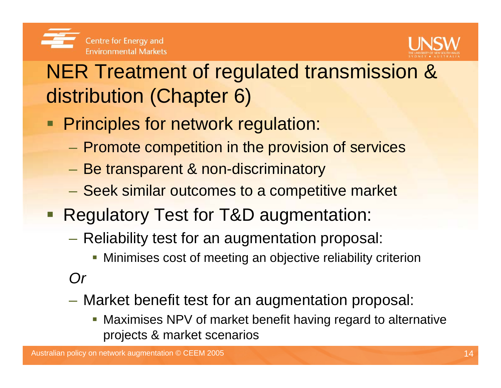



# NER Treatment of regulated transmission & distribution (Chapter 6)

- **Principles for network regulation:** 
	- $\mathcal{L}_{\mathcal{A}}$ – Promote competition in the provision of services
	- $\mathcal{L}_{\mathcal{A}}$ – Be transparent & non-discriminatory
	- $\mathcal{L}_{\mathcal{A}}$ Seek similar outcomes to a competitive market
- **Regulatory Test for T&D augmentation:** 
	- Reliability test for an augmentation proposal:
		- Minimises cost of meeting an objective reliability criterion
	- *Or*
	- – Market benefit test for an augmentation proposal:
		- Maximises NPV of market benefit having regard to alternative projects & market scenarios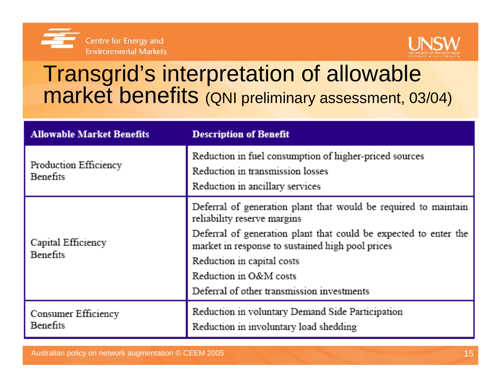



## Transgrid's interpretation of allowable market benefits (QNI preliminary assessment, 03/04)

| <b>Allowable Market Benefits</b>         | <b>Description of Benefit</b>                                                                                                                                                                                                                                                                                                |  |
|------------------------------------------|------------------------------------------------------------------------------------------------------------------------------------------------------------------------------------------------------------------------------------------------------------------------------------------------------------------------------|--|
| Production Efficiency<br><b>Benefits</b> | Reduction in fuel consumption of higher-priced sources<br>Reduction in transmission losses<br>Reduction in ancillary services                                                                                                                                                                                                |  |
| Capital Efficiency<br><b>Benefits</b>    | Deferral of generation plant that would be required to maintain<br>reliability reserve margins<br>Deferral of generation plant that could be expected to enter the<br>market in response to sustained high pool prices<br>Reduction in capital costs<br>Reduction in O&M costs<br>Deferral of other transmission investments |  |
| Consumer Efficiency<br>Benefits          | Reduction in voluntary Demand Side Participation<br>Reduction in involuntary load shedding                                                                                                                                                                                                                                   |  |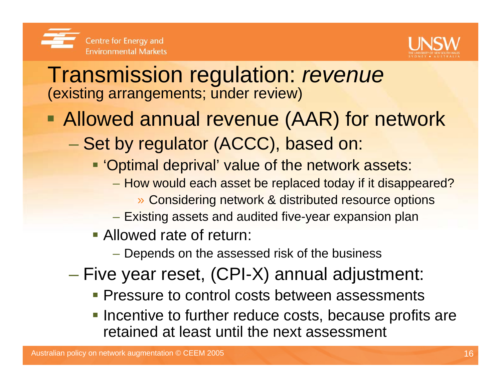



# Transmission regulation: *revenue* (existing arrangements; under review)

- Allowed annual revenue (AAR) for network
	- Set by regulator (ACCC), based on:
		- 'Optimal deprival' value of the network assets:
			- How would each asset be replaced today if it disappeared?
				- » Considering network & distributed resource options
			- $-$  Existing assets and audited five-year expansion plan
		- **Allowed rate of return:** 
			- $-$  Depends on the assessed risk of the business
	- Five year reset, (CPI-X) annual adjustment:
		- **Pressure to control costs between assessments**
		- **Incentive to further reduce costs, because profits are** retained at least until the next assessment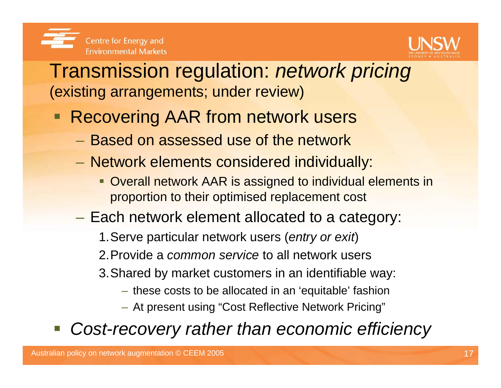



#### Transmission regulation: *network pricing* (existing arrangements; under review)

- Г Recovering AAR from network users
	- Based on assessed use of the network
	- Network elements considered individually:
		- Overall network AAR is assigned to individual elements in proportion to their optimised replacement cost
	- Each network element allocated to a category:
		- 1.Serve particular network users (*entry or exit*)
		- 2.Provide a *common service* to all network users
		- 3.Shared by market customers in an identifiable way:
			- these costs to be allocated in an 'equitable' fashion
			- At present using "Cost Reflective Network Pricing"
- *Cost-recovery rather than economic efficiency*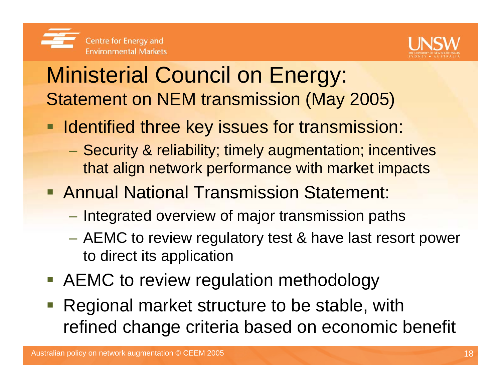



# Ministerial Council on Energy: Statement on NEM transmission (May 2005)

- **IDENTIFIEM INTER KEY ISSUES for transmission:** 
	- Security & reliability; timely augmentation; incentives that align network performance with market impacts
- **Annual National Transmission Statement:** 
	- Integrated overview of major transmission paths
	- AEMC to review regulatory test & have last resort power to direct its application
- **AEMC** to review regulation methodology
- Regional market structure to be stable, with refined change criteria based on economic benefit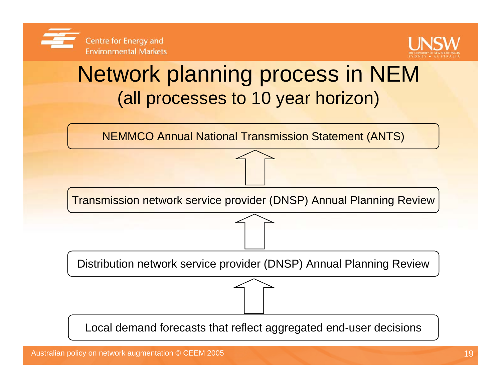



# Network planning process in NEM (all processes to 10 year horizon)

NEMMCO Annual National Transmission Statement (ANTS)

Transmission network service provider (DNSP) Annual Planning Review

Distribution network service provider (DNSP) Annual Planning Review

Local demand forecasts that reflect aggregated end-user decisions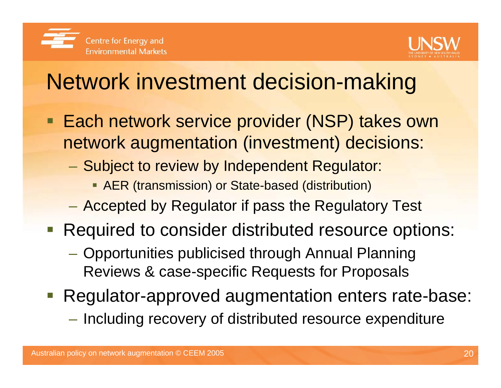



# Network investment decision-making

- Each network service provider (NSP) takes own network augmentation (investment) decisions:
	- Subject to review by Independent Regulator:
		- **AER (transmission) or State-based (distribution)**
	- Accepted by Regulator if pass the Regulatory Test
- **Required to consider distributed resource options:** 
	- Opportunities publicised through Annual Planning Reviews & case-specific Requests for Proposals
- **Regulator-approved augmentation enters rate-base:**  $-$  Including recovery of distributed resource expenditure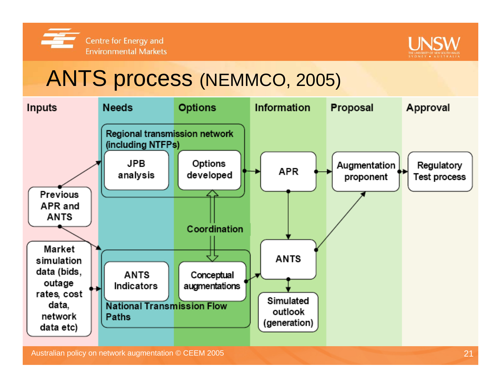



# ANTS process (NEMMCO, 2005)

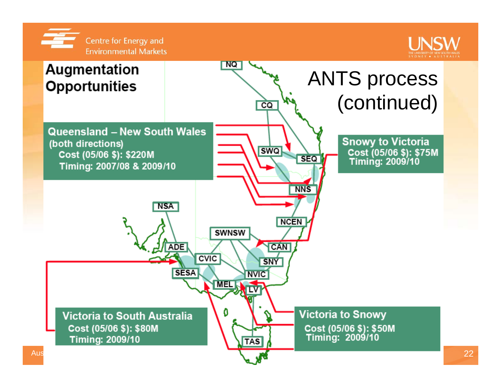



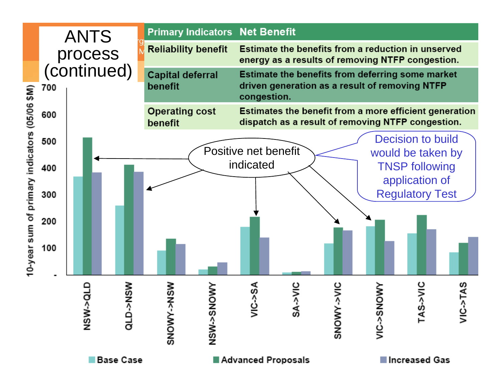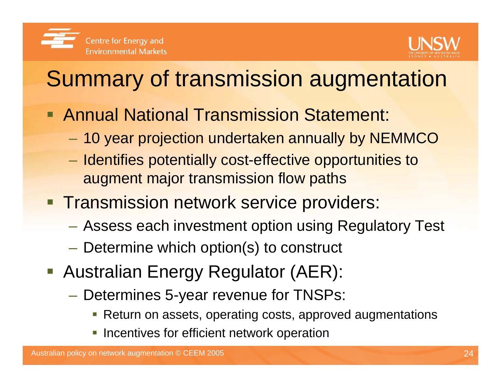

# Summary of transmission augmentation

- **Annual National Transmission Statement:** 
	- 10 year projection undertaken annually by NEMMCO
	- Identifies potentially cost-effective opportunities to augment major transmission flow paths
- **Transmission network service providers:** 
	- Assess each investment option using Regulatory Test
	- Determine which option(s) to construct
- Australian Energy Regulator (AER):
	- Determines 5-year revenue for TNSPs:
		- Return on assets, operating costs, approved augmentations
		- **Incentives for efficient network operation**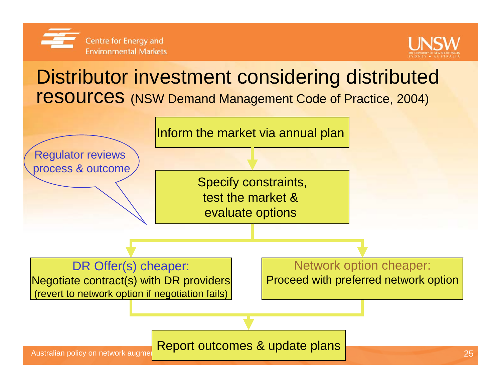



#### Distributor investment considering distributed resources (NSW Demand Management Code of Practice, 2004)

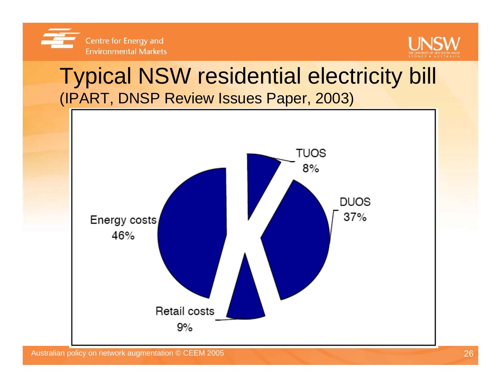



### Typical NSW residential electricity bill (IPART, DNSP Review Issues Paper, 2003)

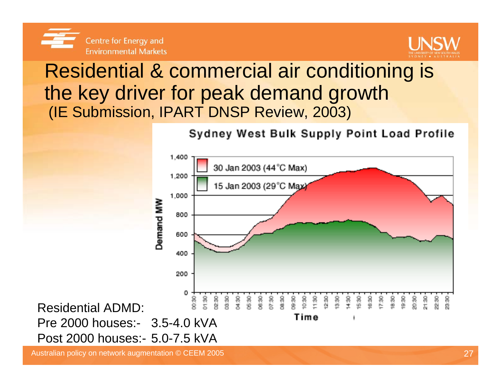



#### Residential & commercial air conditioning is the key driver for peak demand growth (IE Submission, IPART DNSP Review, 2003)

Sydney West Bulk Supply Point Load Profile



Australian policy on network augmentation © CEEM 2005 27 Australian 2005 27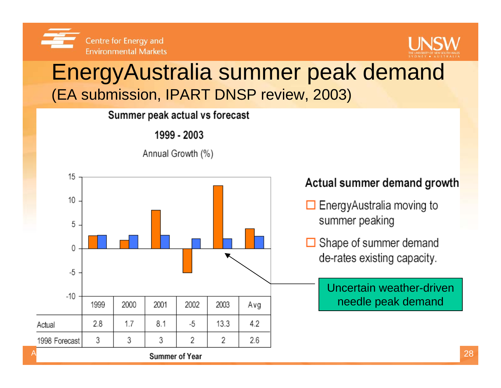



#### EnergyAustralia summer peak demand (EA submission, IPART DNSP review, 2003)

Summer peak actual vs forecast

1999 - 2003

Annual Growth (%)

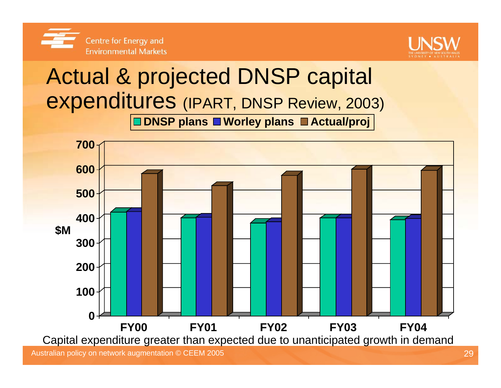



# Actual & projected DNSP capital expenditures (IPART, DNSP Review, 2003)

**DNSP plans Worley plans Actual/proj**

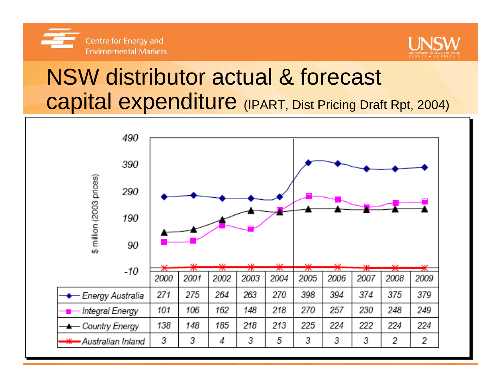



# NSW distributor actual & forecast capital expenditure (IPART, Dist Pricing Draft Rpt, 2004)

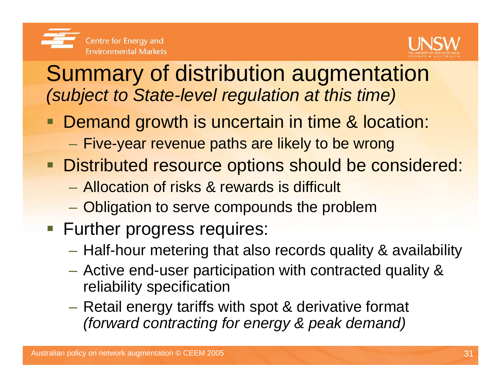



## Summary of distribution augmentation *(subject to State-level regulation at this time)*

- **Demand growth is uncertain in time & location:** 
	- Five-year revenue paths are likely to be wrong
- **Distributed resource options should be considered:** 
	- Allocation of risks & rewards is difficult
	- –Obligation to serve compounds the problem
- **Further progress requires:** 
	- Half-hour metering that also records quality & availability
	- Active end-user participation with contracted quality & reliability specification
	- Retail energy tariffs with spot & derivative format *(forward contracting for energy & peak demand)*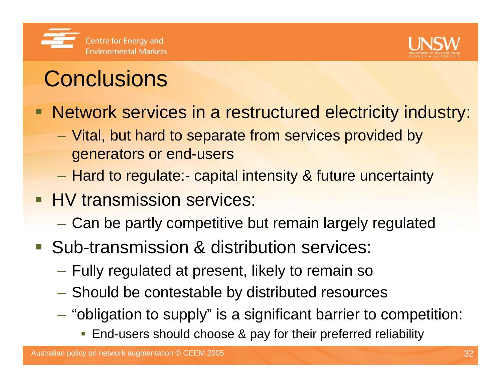



# **Conclusions**

- **Network services in a restructured electricity industry:** 
	- $\mathcal{L}_{\mathcal{A}}$ – Vital, but hard to separate from services provided by generators or end-users
	- Hard to regulate:- capital intensity & future uncertainty
- **HV transmission services:** 
	- –Can be partly competitive but remain largely regulated
- **Sub-transmission & distribution services:** 
	- $\mathcal{L}_{\mathcal{A}}$ Fully regulated at present, likely to remain so
	- $\mathcal{L}_{\mathcal{A}}$ Should be contestable by distributed resources
	- $\mathcal{L}_{\mathcal{A}}$  $-$  "obligation to supply" is a significant barrier to competition:
		- End-users should choose & pay for their preferred reliability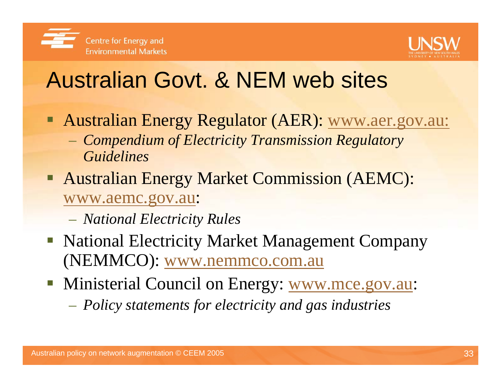



# Australian Govt. & NEM web sites

- **Australian Energy Regulator (AER): www.aer.gov.au:** 
	- *Compendium of Electricity Transmission Regulatory Guidelines*
- **Australian Energy Market Commission (AEMC):** www.aemc.gov.au:
	- *National Electricity Rules*
- National Electricity Market Management Company (NEMMCO): www.nemmco.com.au
- Ministerial Council on Energy: www.mce.gov.au: *Policy statements for electricity and gas industries*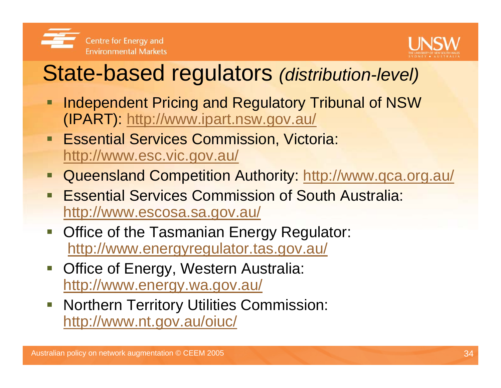



## State-based regulators *(distribution-level)*

- Independent Pricing and Regulatory Tribunal of NSW (IPART): http://www.ipart.nsw.gov.au/
- $\blacksquare$  Essential Services Commission, Victoria: http://www.esc.vic.gov.au/
- **Queensland Competition Authority: http://www.qca.org.au/**
- F Essential Services Commission of South Australia: http://www.escosa.sa.gov.au/
- $\overline{\phantom{a}}$  Office of the Tasmanian Energy Regulator: http://www.energyregulator.tas.gov.au/
- $\overline{\phantom{a}}$  Office of Energy, Western Australia: http://www.energy.wa.gov.au/
- I. Northern Territory Utilities Commission: http://www.nt.gov.au/oiuc/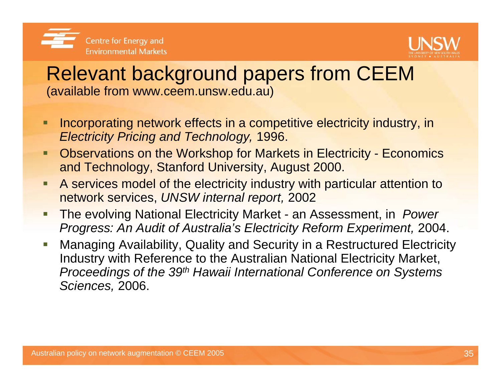



#### Relevant background papers from CEEM (available from www.ceem.unsw.edu.au)

- $\blacksquare$  Incorporating network effects in a competitive electricity industry, in *Electricity Pricing and Technology,* 1996.
- $\blacksquare$  Observations on the Workshop for Markets in Electricity - Economics and Technology, Stanford University, August 2000.
- $\blacksquare$  A services model of the electricity industry with particular attention to network services, *UNSW internal report,* 2002
- П The evolving National Electricity Market - an Assessment, in *Power Progress: An Audit of Australia's Electricity Reform Experiment,* 2004.
- F Managing Availability, Quality and Security in a Restructured Electricity Industry with Reference to the Australian National Electricity Market, *Proceedings of the 39th Hawaii International Conference on Systems Sciences,* 2006.